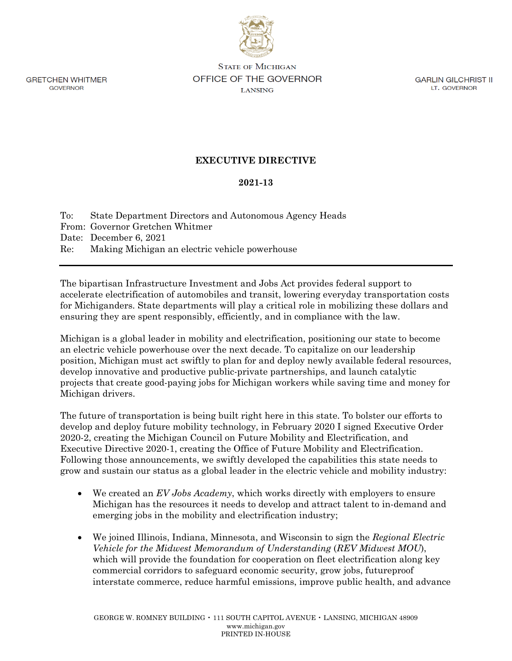**GRETCHEN WHITMER GOVERNOR** 

**STATE OF MICHIGAN** OFFICE OF THE GOVERNOR **LANSING** 

**GARLIN GILCHRIST II** LT. GOVERNOR

## **EXECUTIVE DIRECTIVE**

## **2021-13**

To: State Department Directors and Autonomous Agency Heads From: Governor Gretchen Whitmer Date: December 6, 2021 Re: Making Michigan an electric vehicle powerhouse

The bipartisan Infrastructure Investment and Jobs Act provides federal support to accelerate electrification of automobiles and transit, lowering everyday transportation costs for Michiganders. State departments will play a critical role in mobilizing these dollars and ensuring they are spent responsibly, efficiently, and in compliance with the law.

Michigan is a global leader in mobility and electrification, positioning our state to become an electric vehicle powerhouse over the next decade. To capitalize on our leadership position, Michigan must act swiftly to plan for and deploy newly available federal resources, develop innovative and productive public-private partnerships, and launch catalytic projects that create good-paying jobs for Michigan workers while saving time and money for Michigan drivers.

The future of transportation is being built right here in this state. To bolster our efforts to develop and deploy future mobility technology, in February 2020 I signed Executive Order 2020-2, creating the Michigan Council on Future Mobility and Electrification, and Executive Directive 2020-1, creating the Office of Future Mobility and Electrification. Following those announcements, we swiftly developed the capabilities this state needs to grow and sustain our status as a global leader in the electric vehicle and mobility industry:

- We created an *EV Jobs Academy*, which works directly with employers to ensure Michigan has the resources it needs to develop and attract talent to in-demand and emerging jobs in the mobility and electrification industry;
- We joined Illinois, Indiana, Minnesota, and Wisconsin to sign the *Regional Electric Vehicle for the Midwest Memorandum of Understanding* (*REV Midwest MOU*), which will provide the foundation for cooperation on fleet electrification along key commercial corridors to safeguard economic security, grow jobs, futureproof interstate commerce, reduce harmful emissions, improve public health, and advance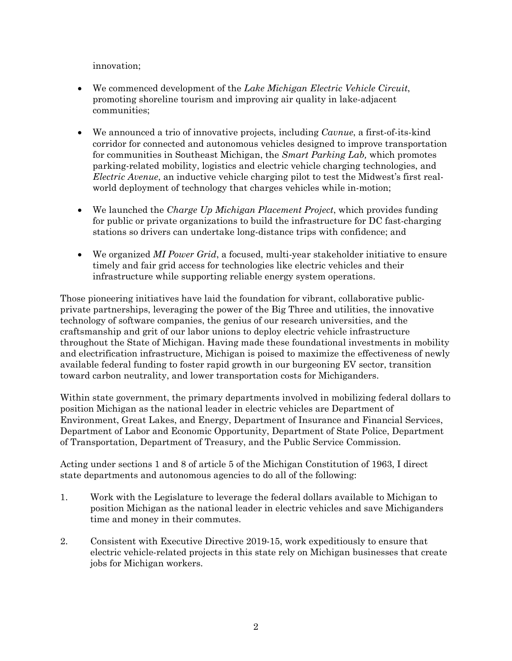innovation;

- We commenced development of the *Lake Michigan Electric Vehicle Circuit*, promoting shoreline tourism and improving air quality in lake-adjacent communities;
- We announced a trio of innovative projects, including *Cavnue*, a first-of-its-kind corridor for connected and autonomous vehicles designed to improve transportation for communities in Southeast Michigan, the *Smart Parking Lab,* which promotes parking-related mobility, logistics and electric vehicle charging technologies, and *Electric Avenue*, an inductive vehicle charging pilot to test the Midwest's first realworld deployment of technology that charges vehicles while in-motion;
- We launched the *Charge Up Michigan Placement Project*, which provides funding for public or private organizations to build the infrastructure for DC fast-charging stations so drivers can undertake long-distance trips with confidence; and
- We organized *MI Power Grid*, a focused, multi-year stakeholder initiative to ensure timely and fair grid access for technologies like electric vehicles and their infrastructure while supporting reliable energy system operations.

Those pioneering initiatives have laid the foundation for vibrant, collaborative publicprivate partnerships, leveraging the power of the Big Three and utilities, the innovative technology of software companies, the genius of our research universities, and the craftsmanship and grit of our labor unions to deploy electric vehicle infrastructure throughout the State of Michigan. Having made these foundational investments in mobility and electrification infrastructure, Michigan is poised to maximize the effectiveness of newly available federal funding to foster rapid growth in our burgeoning EV sector, transition toward carbon neutrality, and lower transportation costs for Michiganders.

Within state government, the primary departments involved in mobilizing federal dollars to position Michigan as the national leader in electric vehicles are Department of Environment, Great Lakes, and Energy, Department of Insurance and Financial Services, Department of Labor and Economic Opportunity, Department of State Police, Department of Transportation, Department of Treasury, and the Public Service Commission.

Acting under sections 1 and 8 of article 5 of the Michigan Constitution of 1963, I direct state departments and autonomous agencies to do all of the following:

- 1. Work with the Legislature to leverage the federal dollars available to Michigan to position Michigan as the national leader in electric vehicles and save Michiganders time and money in their commutes.
- 2. Consistent with Executive Directive 2019-15, work expeditiously to ensure that electric vehicle-related projects in this state rely on Michigan businesses that create jobs for Michigan workers.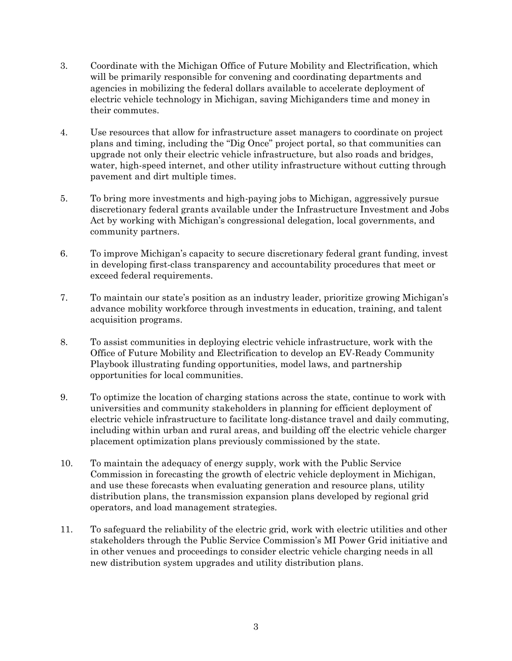- 3. Coordinate with the Michigan Office of Future Mobility and Electrification, which will be primarily responsible for convening and coordinating departments and agencies in mobilizing the federal dollars available to accelerate deployment of electric vehicle technology in Michigan, saving Michiganders time and money in their commutes.
- 4. Use resources that allow for infrastructure asset managers to coordinate on project plans and timing, including the "Dig Once" project portal, so that communities can upgrade not only their electric vehicle infrastructure, but also roads and bridges, water, high-speed internet, and other utility infrastructure without cutting through pavement and dirt multiple times.
- 5. To bring more investments and high-paying jobs to Michigan, aggressively pursue discretionary federal grants available under the Infrastructure Investment and Jobs Act by working with Michigan's congressional delegation, local governments, and community partners.
- 6. To improve Michigan's capacity to secure discretionary federal grant funding, invest in developing first-class transparency and accountability procedures that meet or exceed federal requirements.
- 7. To maintain our state's position as an industry leader, prioritize growing Michigan's advance mobility workforce through investments in education, training, and talent acquisition programs.
- 8. To assist communities in deploying electric vehicle infrastructure, work with the Office of Future Mobility and Electrification to develop an EV-Ready Community Playbook illustrating funding opportunities, model laws, and partnership opportunities for local communities.
- 9. To optimize the location of charging stations across the state, continue to work with universities and community stakeholders in planning for efficient deployment of electric vehicle infrastructure to facilitate long-distance travel and daily commuting, including within urban and rural areas, and building off the electric vehicle charger placement optimization plans previously commissioned by the state.
- 10. To maintain the adequacy of energy supply, work with the Public Service Commission in forecasting the growth of electric vehicle deployment in Michigan, and use these forecasts when evaluating generation and resource plans, utility distribution plans, the transmission expansion plans developed by regional grid operators, and load management strategies.
- 11. To safeguard the reliability of the electric grid, work with electric utilities and other stakeholders through the Public Service Commission's MI Power Grid initiative and in other venues and proceedings to consider electric vehicle charging needs in all new distribution system upgrades and utility distribution plans.